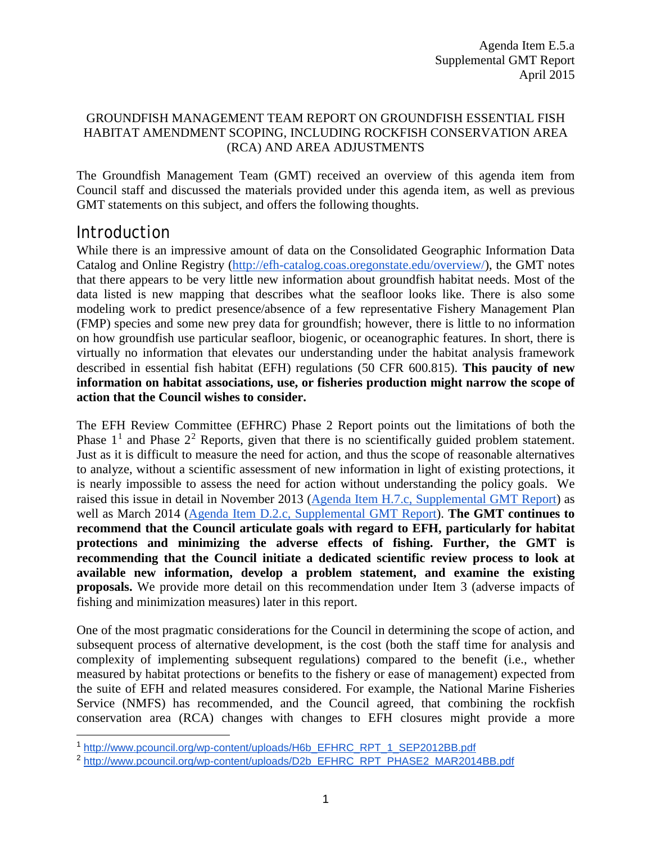#### GROUNDFISH MANAGEMENT TEAM REPORT ON GROUNDFISH ESSENTIAL FISH HABITAT AMENDMENT SCOPING, INCLUDING ROCKFISH CONSERVATION AREA (RCA) AND AREA ADJUSTMENTS

The Groundfish Management Team (GMT) received an overview of this agenda item from Council staff and discussed the materials provided under this agenda item, as well as previous GMT statements on this subject, and offers the following thoughts.

# Introduction

 $\ddot{\phantom{a}}$ 

While there is an impressive amount of data on the Consolidated Geographic Information Data Catalog and Online Registry [\(http://efh-catalog.coas.oregonstate.edu/overview/\)](http://efh-catalog.coas.oregonstate.edu/overview/), the GMT notes that there appears to be very little new information about groundfish habitat needs. Most of the data listed is new mapping that describes what the seafloor looks like. There is also some modeling work to predict presence/absence of a few representative Fishery Management Plan (FMP) species and some new prey data for groundfish; however, there is little to no information on how groundfish use particular seafloor, biogenic, or oceanographic features. In short, there is virtually no information that elevates our understanding under the habitat analysis framework described in essential fish habitat (EFH) regulations (50 CFR 600.815). **This paucity of new information on habitat associations, use, or fisheries production might narrow the scope of action that the Council wishes to consider.**

The EFH Review Committee (EFHRC) Phase 2 Report points out the limitations of both the Phase  $1<sup>1</sup>$  $1<sup>1</sup>$  and Phase  $2<sup>2</sup>$  $2<sup>2</sup>$  Reports, given that there is no scientifically guided problem statement. Just as it is difficult to measure the need for action, and thus the scope of reasonable alternatives to analyze, without a scientific assessment of new information in light of existing protections, it is nearly impossible to assess the need for action without understanding the policy goals. We raised this issue in detail in November 2013 [\(Agenda Item H.7.c, Supplemental GMT Report\)](http://www.pcouncil.org/wp-content/uploads/H7c_SUP_GMT_RPT_NOV2013BB.pdf) as well as March 2014 [\(Agenda Item D.2.c, Supplemental GMT Report\)](http://www.pcouncil.org/wp-content/uploads/D2c_SUP_GMT_RPT_MAR2014BB.pdf). **The GMT continues to recommend that the Council articulate goals with regard to EFH, particularly for habitat protections and minimizing the adverse effects of fishing. Further, the GMT is recommending that the Council initiate a dedicated scientific review process to look at available new information, develop a problem statement, and examine the existing proposals.** We provide more detail on this recommendation under Item 3 (adverse impacts of fishing and minimization measures) later in this report.

One of the most pragmatic considerations for the Council in determining the scope of action, and subsequent process of alternative development, is the cost (both the staff time for analysis and complexity of implementing subsequent regulations) compared to the benefit (i.e., whether measured by habitat protections or benefits to the fishery or ease of management) expected from the suite of EFH and related measures considered. For example, the National Marine Fisheries Service (NMFS) has recommended, and the Council agreed, that combining the rockfish conservation area (RCA) changes with changes to EFH closures might provide a more

<span id="page-0-0"></span><sup>1</sup> [http://www.pcouncil.org/wp-content/uploads/H6b\\_EFHRC\\_RPT\\_1\\_SEP2012BB.pdf](http://www.pcouncil.org/wp-content/uploads/H6b_EFHRC_RPT_1_SEP2012BB.pdf)

<span id="page-0-1"></span><sup>&</sup>lt;sup>2</sup> [http://www.pcouncil.org/wp-content/uploads/D2b\\_EFHRC\\_RPT\\_PHASE2\\_MAR2014BB.pdf](http://www.pcouncil.org/wp-content/uploads/D2b_EFHRC_RPT_PHASE2_MAR2014BB.pdf)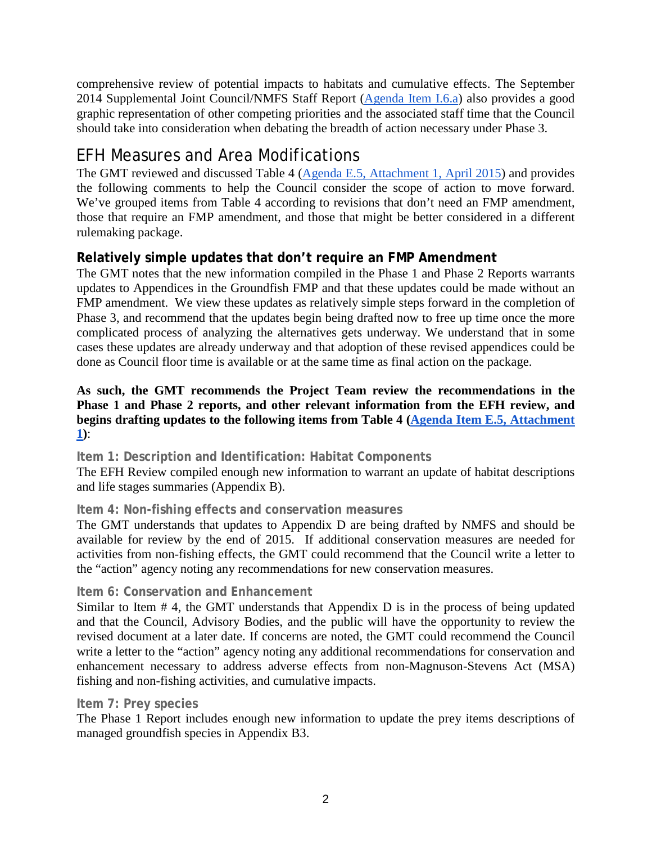comprehensive review of potential impacts to habitats and cumulative effects. The September 2014 Supplemental Joint Council/NMFS Staff Report [\(Agenda Item I.6.a\)](http://www.pcouncil.org/wp-content/uploads/I6a_Sup_Joint_NMFSandPFMCstaff_Rpt_SEPT2014BB.pdf) also provides a good graphic representation of other competing priorities and the associated staff time that the Council should take into consideration when debating the breadth of action necessary under Phase 3.

# EFH Measures and Area Modifications

The GMT reviewed and discussed Table 4 [\(Agenda E.5, Attachment 1,](http://www.pcouncil.org/wp-content/uploads/2015/03/E5_Att1_ScopingDocDRAFT_APR2015BB.pdf) April 2015) and provides the following comments to help the Council consider the scope of action to move forward. We've grouped items from Table 4 according to revisions that don't need an FMP amendment, those that require an FMP amendment, and those that might be better considered in a different rulemaking package.

# **Relatively simple updates that don't require an FMP Amendment**

The GMT notes that the new information compiled in the Phase 1 and Phase 2 Reports warrants updates to Appendices in the Groundfish FMP and that these updates could be made without an FMP amendment. We view these updates as relatively simple steps forward in the completion of Phase 3, and recommend that the updates begin being drafted now to free up time once the more complicated process of analyzing the alternatives gets underway. We understand that in some cases these updates are already underway and that adoption of these revised appendices could be done as Council floor time is available or at the same time as final action on the package.

#### **As such, the GMT recommends the Project Team review the recommendations in the Phase 1 and Phase 2 reports, and other relevant information from the EFH review, and begins drafting updates to the following items from Table 4 [\(Agenda Item E.5, Attachment](http://www.pcouncil.org/wp-content/uploads/2015/03/E5_Att1_ScopingDocDRAFT_APR2015BB.pdf)  [1\)](http://www.pcouncil.org/wp-content/uploads/2015/03/E5_Att1_ScopingDocDRAFT_APR2015BB.pdf)**:

**Item 1: Description and Identification: Habitat Components** 

The EFH Review compiled enough new information to warrant an update of habitat descriptions and life stages summaries (Appendix B).

## **Item 4: Non-fishing effects and conservation measures**

The GMT understands that updates to Appendix D are being drafted by NMFS and should be available for review by the end of 2015. If additional conservation measures are needed for activities from non-fishing effects, the GMT could recommend that the Council write a letter to the "action" agency noting any recommendations for new conservation measures.

## **Item 6: Conservation and Enhancement**

Similar to Item # 4, the GMT understands that Appendix D is in the process of being updated and that the Council, Advisory Bodies, and the public will have the opportunity to review the revised document at a later date. If concerns are noted, the GMT could recommend the Council write a letter to the "action" agency noting any additional recommendations for conservation and enhancement necessary to address adverse effects from non-Magnuson-Stevens Act (MSA) fishing and non-fishing activities, and cumulative impacts.

#### **Item 7: Prey species**

The Phase 1 Report includes enough new information to update the prey items descriptions of managed groundfish species in Appendix B3.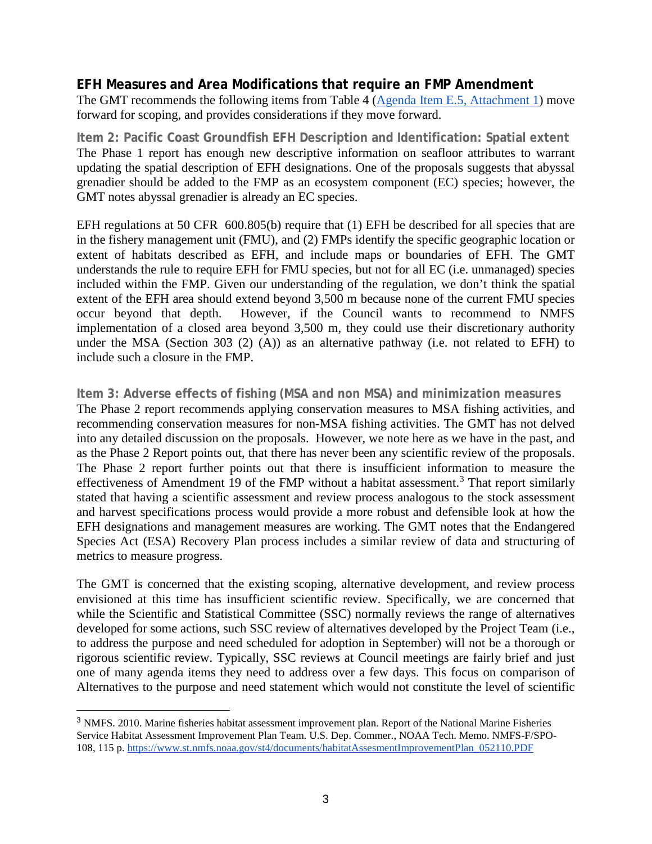#### **EFH Measures and Area Modifications that require an FMP Amendment**

The GMT recommends the following items from Table 4 [\(Agenda Item E.5,](http://www.pcouncil.org/wp-content/uploads/2015/03/E5_Att1_ScopingDocDRAFT_APR2015BB.pdf) Attachment 1) move forward for scoping, and provides considerations if they move forward.

**Item 2: Pacific Coast Groundfish EFH Description and Identification: Spatial extent** The Phase 1 report has enough new descriptive information on seafloor attributes to warrant updating the spatial description of EFH designations. One of the proposals suggests that abyssal grenadier should be added to the FMP as an ecosystem component (EC) species; however, the GMT notes abyssal grenadier is already an EC species.

EFH regulations at 50 CFR 600.805(b) require that (1) EFH be described for all species that are in the fishery management unit (FMU), and (2) FMPs identify the specific geographic location or extent of habitats described as EFH, and include maps or boundaries of EFH. The GMT understands the rule to require EFH for FMU species, but not for all EC (i.e. unmanaged) species included within the FMP. Given our understanding of the regulation, we don't think the spatial extent of the EFH area should extend beyond 3,500 m because none of the current FMU species occur beyond that depth. However, if the Council wants to recommend to NMFS implementation of a closed area beyond 3,500 m, they could use their discretionary authority under the MSA (Section 303 (2) (A)) as an alternative pathway (i.e. not related to EFH) to include such a closure in the FMP.

#### **Item 3: Adverse effects of fishing (MSA and non MSA) and minimization measures**

The Phase 2 report recommends applying conservation measures to MSA fishing activities, and recommending conservation measures for non-MSA fishing activities. The GMT has not delved into any detailed discussion on the proposals. However, we note here as we have in the past, and as the Phase 2 Report points out, that there has never been any scientific review of the proposals. The Phase 2 report further points out that there is insufficient information to measure the effectiveness of Amendment 19 of the FMP without a habitat assessment.<sup>[3](#page-2-0)</sup> That report similarly stated that having a scientific assessment and review process analogous to the stock assessment and harvest specifications process would provide a more robust and defensible look at how the EFH designations and management measures are working. The GMT notes that the Endangered Species Act (ESA) Recovery Plan process includes a similar review of data and structuring of metrics to measure progress.

The GMT is concerned that the existing scoping, alternative development, and review process envisioned at this time has insufficient scientific review. Specifically, we are concerned that while the Scientific and Statistical Committee (SSC) normally reviews the range of alternatives developed for some actions, such SSC review of alternatives developed by the Project Team (i.e., to address the purpose and need scheduled for adoption in September) will not be a thorough or rigorous scientific review. Typically, SSC reviews at Council meetings are fairly brief and just one of many agenda items they need to address over a few days. This focus on comparison of Alternatives to the purpose and need statement which would not constitute the level of scientific

 $\overline{a}$ 

<span id="page-2-0"></span><sup>&</sup>lt;sup>3</sup> NMFS. 2010. Marine fisheries habitat assessment improvement plan. Report of the National Marine Fisheries Service Habitat Assessment Improvement Plan Team. U.S. Dep. Commer., NOAA Tech. Memo. NMFS-F/SPO-108, 115 p. [https://www.st.nmfs.noaa.gov/st4/documents/habitatAssesmentImprovementPlan\\_052110.PDF](https://www.st.nmfs.noaa.gov/st4/documents/habitatAssesmentImprovementPlan_052110.PDF)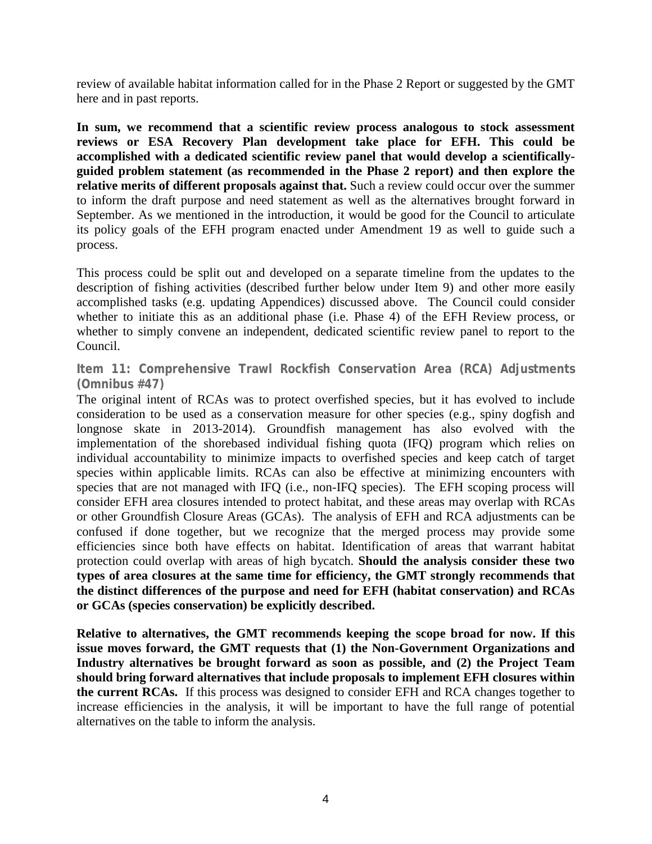review of available habitat information called for in the Phase 2 Report or suggested by the GMT here and in past reports.

**In sum, we recommend that a scientific review process analogous to stock assessment reviews or ESA Recovery Plan development take place for EFH. This could be accomplished with a dedicated scientific review panel that would develop a scientificallyguided problem statement (as recommended in the Phase 2 report) and then explore the relative merits of different proposals against that.** Such a review could occur over the summer to inform the draft purpose and need statement as well as the alternatives brought forward in September. As we mentioned in the introduction, it would be good for the Council to articulate its policy goals of the EFH program enacted under Amendment 19 as well to guide such a process.

This process could be split out and developed on a separate timeline from the updates to the description of fishing activities (described further below under Item 9) and other more easily accomplished tasks (e.g. updating Appendices) discussed above. The Council could consider whether to initiate this as an additional phase (i.e. Phase 4) of the EFH Review process, or whether to simply convene an independent, dedicated scientific review panel to report to the Council.

**Item 11: Comprehensive Trawl Rockfish Conservation Area (RCA) Adjustments (Omnibus #47)**

The original intent of RCAs was to protect overfished species, but it has evolved to include consideration to be used as a conservation measure for other species (e.g., spiny dogfish and longnose skate in 2013-2014). Groundfish management has also evolved with the implementation of the shorebased individual fishing quota (IFQ) program which relies on individual accountability to minimize impacts to overfished species and keep catch of target species within applicable limits. RCAs can also be effective at minimizing encounters with species that are not managed with IFQ (i.e., non-IFQ species). The EFH scoping process will consider EFH area closures intended to protect habitat, and these areas may overlap with RCAs or other Groundfish Closure Areas (GCAs). The analysis of EFH and RCA adjustments can be confused if done together, but we recognize that the merged process may provide some efficiencies since both have effects on habitat. Identification of areas that warrant habitat protection could overlap with areas of high bycatch. **Should the analysis consider these two types of area closures at the same time for efficiency, the GMT strongly recommends that the distinct differences of the purpose and need for EFH (habitat conservation) and RCAs or GCAs (species conservation) be explicitly described.**

**Relative to alternatives, the GMT recommends keeping the scope broad for now. If this issue moves forward, the GMT requests that (1) the Non-Government Organizations and Industry alternatives be brought forward as soon as possible, and (2) the Project Team should bring forward alternatives that include proposals to implement EFH closures within the current RCAs.** If this process was designed to consider EFH and RCA changes together to increase efficiencies in the analysis, it will be important to have the full range of potential alternatives on the table to inform the analysis.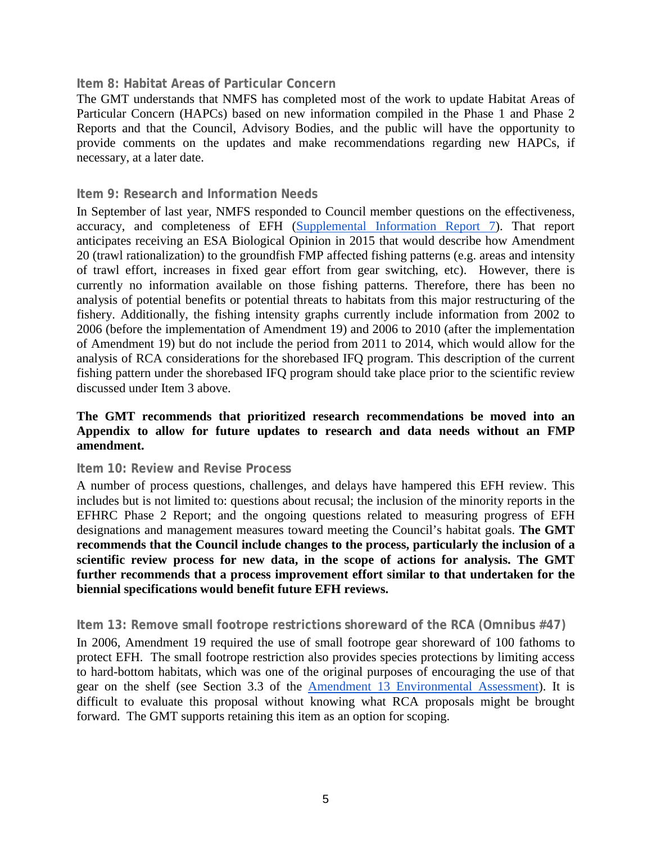#### **Item 8: Habitat Areas of Particular Concern**

The GMT understands that NMFS has completed most of the work to update Habitat Areas of Particular Concern (HAPCs) based on new information compiled in the Phase 1 and Phase 2 Reports and that the Council, Advisory Bodies, and the public will have the opportunity to provide comments on the updates and make recommendations regarding new HAPCs, if necessary, at a later date.

#### **Item 9: Research and Information Needs**

In September of last year, NMFS responded to Council member questions on the effectiveness, accuracy, and completeness of EFH [\(Supplemental Information Report 7\)](http://www.pcouncil.org/wp-content/uploads/IR7_Sup_NMFS_EFH_EvalRpt_Sept2014BB.pdf). That report anticipates receiving an ESA Biological Opinion in 2015 that would describe how Amendment 20 (trawl rationalization) to the groundfish FMP affected fishing patterns (e.g. areas and intensity of trawl effort, increases in fixed gear effort from gear switching, etc). However, there is currently no information available on those fishing patterns. Therefore, there has been no analysis of potential benefits or potential threats to habitats from this major restructuring of the fishery. Additionally, the fishing intensity graphs currently include information from 2002 to 2006 (before the implementation of Amendment 19) and 2006 to 2010 (after the implementation of Amendment 19) but do not include the period from 2011 to 2014, which would allow for the analysis of RCA considerations for the shorebased IFQ program. This description of the current fishing pattern under the shorebased IFQ program should take place prior to the scientific review discussed under Item 3 above.

#### **The GMT recommends that prioritized research recommendations be moved into an Appendix to allow for future updates to research and data needs without an FMP amendment.**

#### **Item 10: Review and Revise Process**

A number of process questions, challenges, and delays have hampered this EFH review. This includes but is not limited to: questions about recusal; the inclusion of the minority reports in the EFHRC Phase 2 Report; and the ongoing questions related to measuring progress of EFH designations and management measures toward meeting the Council's habitat goals. **The GMT recommends that the Council include changes to the process, particularly the inclusion of a scientific review process for new data, in the scope of actions for analysis. The GMT further recommends that a process improvement effort similar to that undertaken for the biennial specifications would benefit future EFH reviews.**

#### **Item 13: Remove small footrope restrictions shoreward of the RCA (Omnibus #47)**

In 2006, Amendment 19 required the use of small footrope gear shoreward of 100 fathoms to protect EFH. The small footrope restriction also provides species protections by limiting access to hard-bottom habitats, which was one of the original purposes of encouraging the use of that gear on the shelf (see Section 3.3 of the [Amendment 13 Environmental Assessment\)](http://www.pcouncil.org/wp-content/uploads/gfa13.pdf). It is difficult to evaluate this proposal without knowing what RCA proposals might be brought forward. The GMT supports retaining this item as an option for scoping.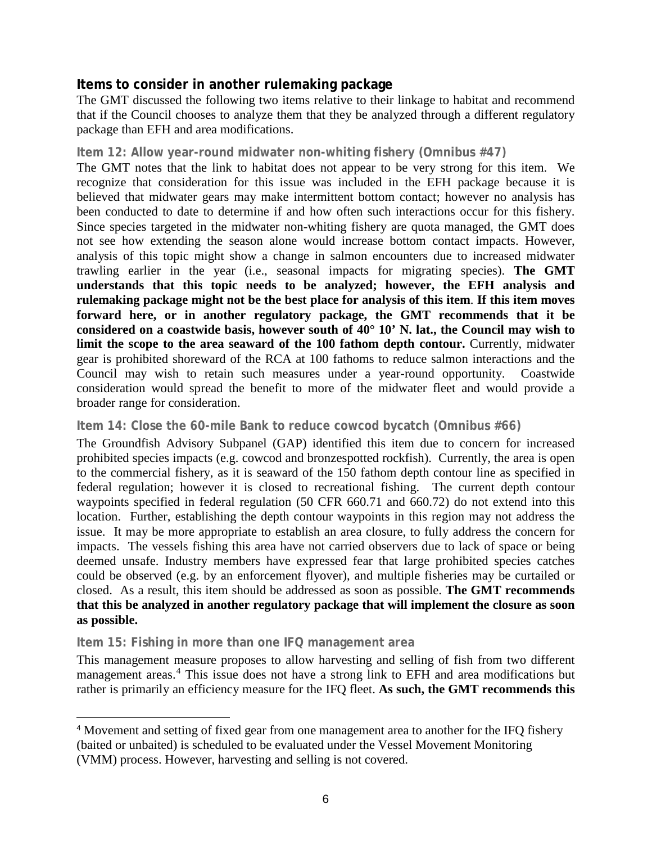#### **Items to consider in another rulemaking package**

The GMT discussed the following two items relative to their linkage to habitat and recommend that if the Council chooses to analyze them that they be analyzed through a different regulatory package than EFH and area modifications.

#### **Item 12: Allow year-round midwater non-whiting fishery (Omnibus #47)**

The GMT notes that the link to habitat does not appear to be very strong for this item. We recognize that consideration for this issue was included in the EFH package because it is believed that midwater gears may make intermittent bottom contact; however no analysis has been conducted to date to determine if and how often such interactions occur for this fishery. Since species targeted in the midwater non-whiting fishery are quota managed, the GMT does not see how extending the season alone would increase bottom contact impacts. However, analysis of this topic might show a change in salmon encounters due to increased midwater trawling earlier in the year (i.e., seasonal impacts for migrating species). **The GMT understands that this topic needs to be analyzed; however, the EFH analysis and rulemaking package might not be the best place for analysis of this item**. **If this item moves forward here, or in another regulatory package, the GMT recommends that it be considered on a coastwide basis, however south of 40° 10' N. lat., the Council may wish to limit the scope to the area seaward of the 100 fathom depth contour.** Currently, midwater gear is prohibited shoreward of the RCA at 100 fathoms to reduce salmon interactions and the Council may wish to retain such measures under a year-round opportunity. Coastwide consideration would spread the benefit to more of the midwater fleet and would provide a broader range for consideration.

#### **Item 14: Close the 60-mile Bank to reduce cowcod bycatch (Omnibus #66)**

The Groundfish Advisory Subpanel (GAP) identified this item due to concern for increased prohibited species impacts (e.g. cowcod and bronzespotted rockfish). Currently, the area is open to the commercial fishery, as it is seaward of the 150 fathom depth contour line as specified in federal regulation; however it is closed to recreational fishing. The current depth contour waypoints specified in federal regulation (50 CFR 660.71 and 660.72) do not extend into this location. Further, establishing the depth contour waypoints in this region may not address the issue. It may be more appropriate to establish an area closure, to fully address the concern for impacts. The vessels fishing this area have not carried observers due to lack of space or being deemed unsafe. Industry members have expressed fear that large prohibited species catches could be observed (e.g. by an enforcement flyover), and multiple fisheries may be curtailed or closed. As a result, this item should be addressed as soon as possible. **The GMT recommends that this be analyzed in another regulatory package that will implement the closure as soon as possible.** 

#### **Item 15: Fishing in more than one IFQ management area**

 $\ddot{\phantom{a}}$ 

This management measure proposes to allow harvesting and selling of fish from two different management areas.<sup>[4](#page-5-0)</sup> This issue does not have a strong link to EFH and area modifications but rather is primarily an efficiency measure for the IFQ fleet. **As such, the GMT recommends this** 

<span id="page-5-0"></span><sup>4</sup> Movement and setting of fixed gear from one management area to another for the IFQ fishery (baited or unbaited) is scheduled to be evaluated under the Vessel Movement Monitoring (VMM) process. However, harvesting and selling is not covered.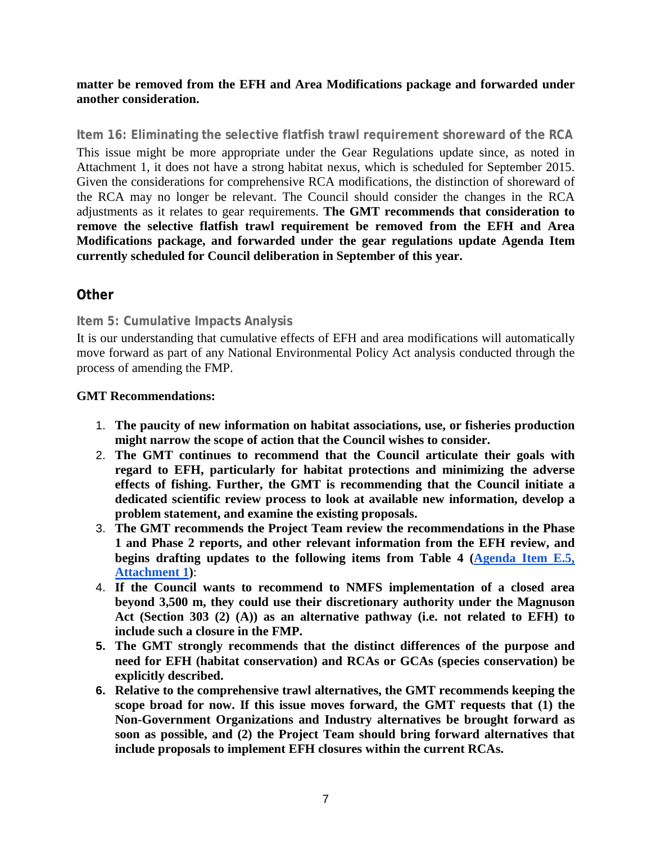#### **matter be removed from the EFH and Area Modifications package and forwarded under another consideration.**

**Item 16: Eliminating the selective flatfish trawl requirement shoreward of the RCA** This issue might be more appropriate under the Gear Regulations update since, as noted in Attachment 1, it does not have a strong habitat nexus, which is scheduled for September 2015. Given the considerations for comprehensive RCA modifications, the distinction of shoreward of the RCA may no longer be relevant. The Council should consider the changes in the RCA adjustments as it relates to gear requirements. **The GMT recommends that consideration to remove the selective flatfish trawl requirement be removed from the EFH and Area Modifications package, and forwarded under the gear regulations update Agenda Item currently scheduled for Council deliberation in September of this year.**

## **Other**

#### **Item 5: Cumulative Impacts Analysis**

It is our understanding that cumulative effects of EFH and area modifications will automatically move forward as part of any National Environmental Policy Act analysis conducted through the process of amending the FMP.

#### **GMT Recommendations:**

- 1. **The paucity of new information on habitat associations, use, or fisheries production might narrow the scope of action that the Council wishes to consider.**
- 2. **The GMT continues to recommend that the Council articulate their goals with regard to EFH, particularly for habitat protections and minimizing the adverse effects of fishing. Further, the GMT is recommending that the Council initiate a dedicated scientific review process to look at available new information, develop a problem statement, and examine the existing proposals.**
- 3. **The GMT recommends the Project Team review the recommendations in the Phase 1 and Phase 2 reports, and other relevant information from the EFH review, and begins drafting updates to the following items from Table 4 [\(Agenda Item E.5,](http://www.pcouncil.org/wp-content/uploads/2015/03/E5_Att1_ScopingDocDRAFT_APR2015BB.pdf)  [Attachment 1\)](http://www.pcouncil.org/wp-content/uploads/2015/03/E5_Att1_ScopingDocDRAFT_APR2015BB.pdf)**:
- 4. **If the Council wants to recommend to NMFS implementation of a closed area beyond 3,500 m, they could use their discretionary authority under the Magnuson Act (Section 303 (2) (A)) as an alternative pathway (i.e. not related to EFH) to include such a closure in the FMP.**
- **5. The GMT strongly recommends that the distinct differences of the purpose and need for EFH (habitat conservation) and RCAs or GCAs (species conservation) be explicitly described.**
- **6. Relative to the comprehensive trawl alternatives, the GMT recommends keeping the scope broad for now. If this issue moves forward, the GMT requests that (1) the Non-Government Organizations and Industry alternatives be brought forward as soon as possible, and (2) the Project Team should bring forward alternatives that include proposals to implement EFH closures within the current RCAs.**